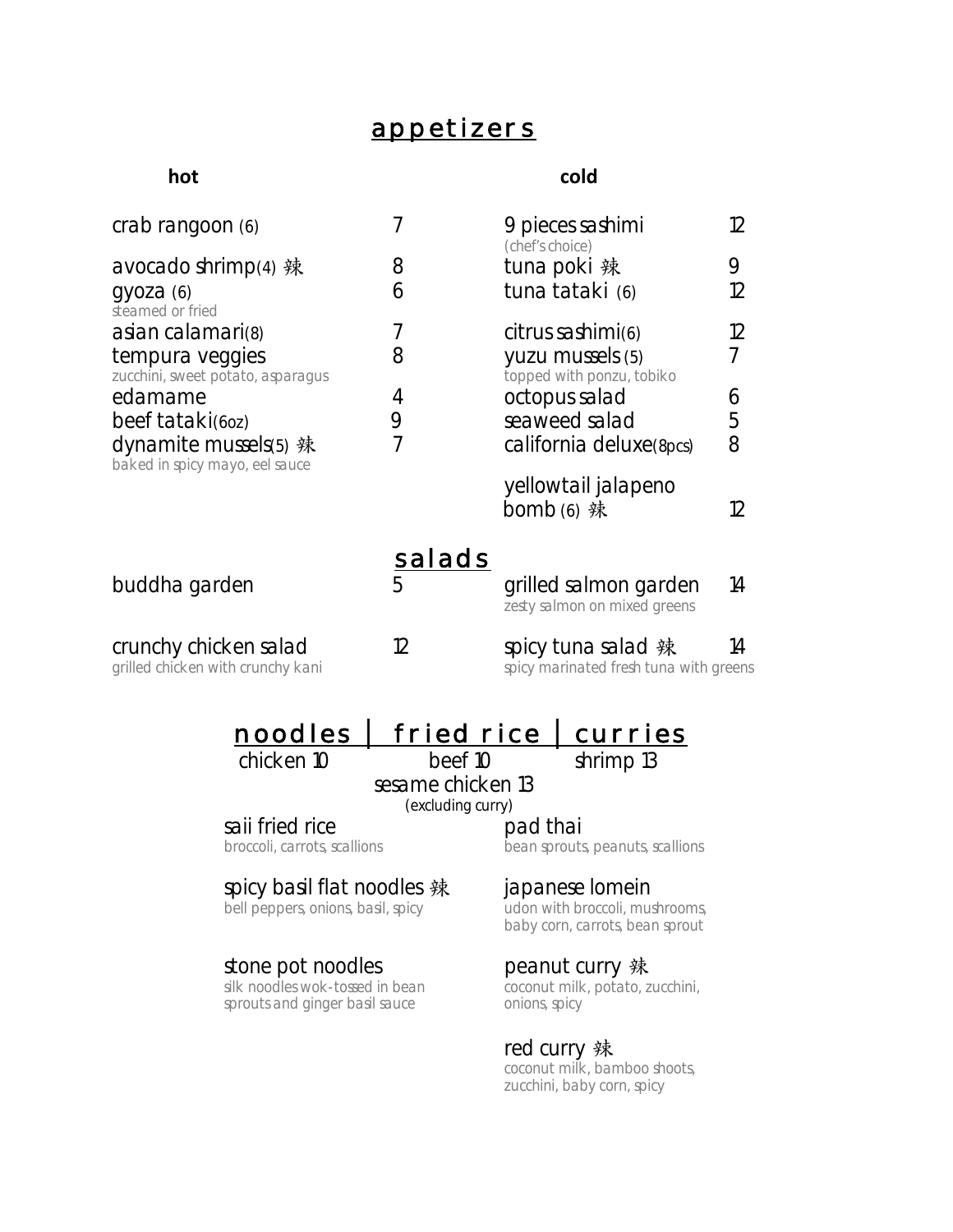## **appetizers**

### **hot cold**

| crab rangoon (6)                                           |               | 9 pieces sashimi<br>(chef's choice)                          | 12 |
|------------------------------------------------------------|---------------|--------------------------------------------------------------|----|
| avocado shrimp(4) 辣                                        | 8             | tuna poki 辣                                                  | 9  |
| gyoza(6)<br>steamed or fried                               | 6             | tuna tataki (6)                                              | 12 |
| asian calamari(8)                                          | 7             | citrus sashimi(6)                                            | 12 |
| tempura veggies<br>zucchini, sweet potato, asparagus       | 8             | yuzu mussels (5)<br>topped with ponzu, tobiko                | 7  |
| edamame                                                    | 4             | octopus salad                                                | 6  |
| beef tataki(60z)                                           | 9             | seaweed salad                                                | 5  |
| dynamite mussels(5) 辣<br>baked in spicy mayo, eel sauce    | 7             | california deluxe(8pcs)                                      | 8  |
|                                                            |               | yellowtail jalapeno                                          |    |
|                                                            |               | bomb $(6)$ 辣                                                 | 12 |
|                                                            | <b>salads</b> |                                                              |    |
| buddha garden                                              | 5             | grilled salmon garden<br>zesty salmon on mixed greens        | 14 |
| crunchy chicken salad<br>grilled chicken with crunchy kani | 12            | spicy tuna salad 辣<br>spicy marinated fresh tuna with greens | 14 |

## **noodles** │ **fried rice** │**curries**

chicken 10 beef 10 shrimp 13

sesame chicken 13<br>
(excluding curry)

**saii fried rice pad thai**<br>broccoli, carrots, scallions **pad thai**<br>bean sprouts

## bean sprouts, peanuts, scallions

# spicy basil flat noodles 辣 japanese lomein<br>bell peppers, onions, basil, spicy udon with broccoli, mu

# stone pot noodles<br>silk noodles wok-tossed in bean

sprouts and ginger basil sauce

udon with broccoli, mushrooms, baby corn, carrots, bean sprout

peanut curry 辣<br>coconut milk, potato, zucchini,<br>onions, spicy

### red curry 辣

coconut milk, bamboo shoots, zucchini, baby corn, spicy